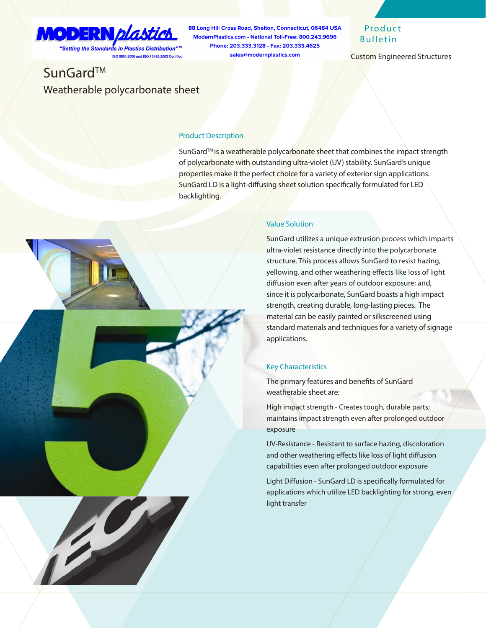## **MODERN plastick** "Setting the Standards in Plastics Distribution"™

ISO 9001:2008 and ISO 13485:2003 Certified

88 Long Hill Cross Road, Shelton, Connecticut, 06484 USA ModernPlastics.com - National Toll-Free: 800.243.9696 Phone: 203.333.3128 - Fax: 203.333.4625 sales@modernplastics.com

## **Product** Bulletin

Custom Engineered Structures

# SunGard™ Weatherable polycarbonate sheet

#### Product Description

SunGard™ is a weatherable polycarbonate sheet that combines the impact strength of polycarbonate with outstanding ultra-violet (UV) stability. SunGard's unique properties make it the perfect choice for a variety of exterior sign applications. SunGard LD is a light-diffusing sheet solution specifically formulated for LED backlighting.



SunGard utilizes a unique extrusion process which imparts ultra-violet resistance directly into the polycarbonate structure. This process allows SunGard to resist hazing, yellowing, and other weathering effects like loss of light diffusion even after years of outdoor exposure; and, since it is polycarbonate, SunGard boasts a high impact strength, creating durable, long-lasting pieces. The material can be easily painted or silkscreened using standard materials and techniques for a variety of signage applications.

### Key Characteristics

The primary features and benefits of SunGard weatherable sheet are:

High impact strength - Creates tough, durable parts; maintains impact strength even after prolonged outdoor exposure

UV-Resistance - Resistant to surface hazing, discoloration and other weathering effects like loss of light diffusion capabilities even after prolonged outdoor exposure

Light Diffusion - SunGard LD is specifically formulated for applications which utilize LED backlighting for strong, even light transfer